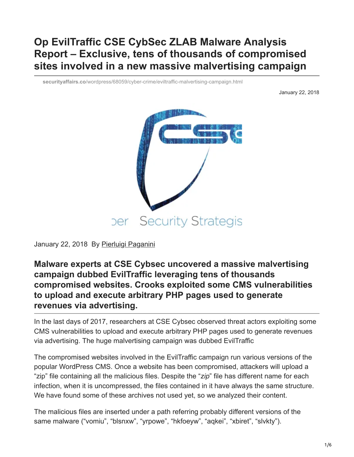## **Op EvilTraffic CSE CybSec ZLAB Malware Analysis Report – Exclusive, tens of thousands of compromised sites involved in a new massive malvertising campaign**

**securityaffairs.co**[/wordpress/68059/cyber-crime/eviltraffic-malvertising-campaign.html](http://securityaffairs.co/wordpress/68059/cyber-crime/eviltraffic-malvertising-campaign.html)

January 22, 2018



January 22, 2018 By [Pierluigi Paganini](https://securityaffairs.co/wordpress/author/paganinip)

**Malware experts at CSE Cybsec uncovered a massive malvertising campaign dubbed EvilTraffic leveraging tens of thousands compromised websites. Crooks exploited some CMS vulnerabilities to upload and execute arbitrary PHP pages used to generate revenues via advertising.**

In the last days of 2017, researchers at CSE Cybsec observed threat actors exploiting some CMS vulnerabilities to upload and execute arbitrary PHP pages used to generate revenues via advertising. The huge malvertising campaign was dubbed EvilTraffic

The compromised websites involved in the EvilTraffic campaign run various versions of the popular WordPress CMS. Once a website has been compromised, attackers will upload a "zip" file containing all the malicious files. Despite the "*zip*" file has different name for each infection, when it is uncompressed, the files contained in it have always the same structure. We have found some of these archives not used yet, so we analyzed their content.

The malicious files are inserted under a path referring probably different versions of the same malware ("vomiu", "blsnxw", "yrpowe", "hkfoeyw", "aqkei", "xbiret", "slvkty").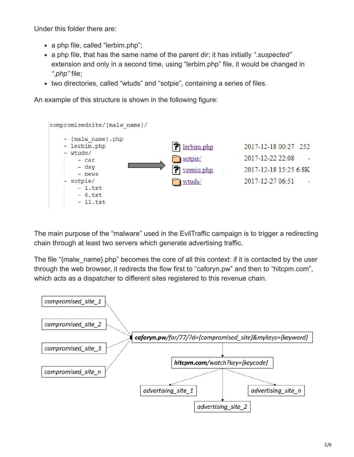Under this folder there are:

- a php file, called "lerbim.php";
- a php file, that has the same name of the parent dir; it has initially *".suspected"* extension and only in a second time, using "lerbim.php" file, it would be changed in *".php"* file;
- two directories, called "wtuds" and "sotpie", containing a series of files.

An example of this structure is shown in the following figure:



The main purpose of the "malware" used in the EvilTraffic campaign is to trigger a redirecting chain through at least two servers which generate advertising traffic.

The file "{malw\_name}.php" becomes the core of all this context: if it is contacted by the user through the web browser, it redirects the flow first to "caforyn.pw" and then to "hitcpm.com", which acts as a dispatcher to different sites registered to this revenue chain.

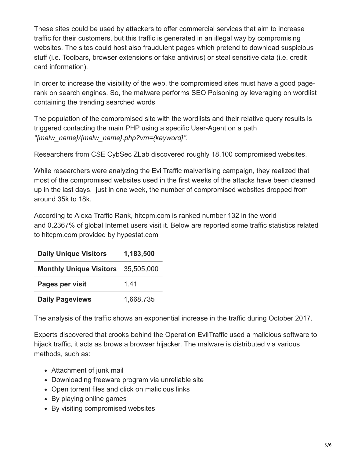These sites could be used by attackers to offer commercial services that aim to increase traffic for their customers, but this traffic is generated in an illegal way by compromising websites. The sites could host also fraudulent pages which pretend to download suspicious stuff (i.e. Toolbars, browser extensions or fake antivirus) or steal sensitive data (i.e. credit card information).

In order to increase the visibility of the web, the compromised sites must have a good pagerank on search engines. So, the malware performs SEO Poisoning by leveraging on wordlist containing the trending searched words

The population of the compromised site with the wordlists and their relative query results is triggered contacting the main PHP using a specific User-Agent on a path *"{malw\_name}/{malw\_name}.php?vm={keyword}"*.

Researchers from CSE CybSec ZLab discovered roughly 18.100 compromised websites.

While researchers were analyzing the EvilTraffic malvertising campaign, they realized that most of the compromised websites used in the first weeks of the attacks have been cleaned up in the last days. just in one week, the number of compromised websites dropped from around 35k to 18k.

According to Alexa Traffic Rank, hitcpm.com is ranked number 132 in the world and 0.2367% of global Internet users visit it. Below are reported some traffic statistics related to hitcpm.com provided by hypestat.com

| <b>Daily Unique Visitors</b>              | 1,183,500 |
|-------------------------------------------|-----------|
| <b>Monthly Unique Visitors</b> 35,505,000 |           |
| Pages per visit                           | 141       |
| <b>Daily Pageviews</b>                    | 1,668,735 |

The analysis of the traffic shows an exponential increase in the traffic during October 2017.

Experts discovered that crooks behind the Operation EvilTraffic used a malicious software to hijack traffic, it acts as brows a browser hijacker. The malware is distributed via various methods, such as:

- Attachment of junk mail
- Downloading freeware program via unreliable site
- Open torrent files and click on malicious links
- By playing online games
- By visiting compromised websites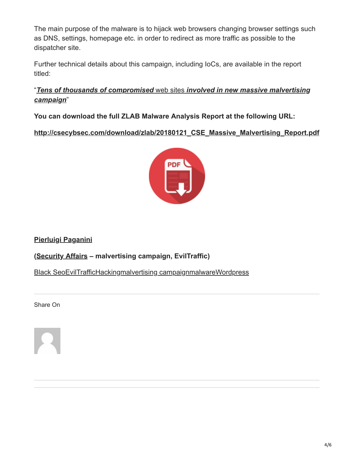The main purpose of the malware is to hijack web browsers changing browser settings such as DNS, settings, homepage etc. in order to redirect as more traffic as possible to the dispatcher site.

Further technical details about this campaign, including IoCs, are available in the report titled:

"*Tens of thousands of compromised* web sites *[involved in new massive malvertising](http://csecybsec.com/download/zlab/20180121_CSE_Massive_Malvertising_Report.pdf) campaign*"

**You can download the full ZLAB Malware Analysis Report at the following URL:**

**[http://csecybsec.com/download/zlab/20180121\\_CSE\\_Massive\\_Malvertising\\_Report.pdf](http://csecybsec.com/download/zlab/20180121_CSE_Massive_Malvertising_Report.pdf)**



**[Pierluigi Paganini](http://www.linkedin.com/pub/pierluigi-paganini/b/742/559)**

**([Security Affairs](http://securityaffairs.co/wordpress/) – malvertising campaign, EvilTraffic)**

[Black Seo](https://securityaffairs.co/wordpress/tag/black-seo)[EvilTraffic](https://securityaffairs.co/wordpress/tag/eviltraffic)[Hacking](https://securityaffairs.co/wordpress/tag/hacking)[malvertising campaign](https://securityaffairs.co/wordpress/tag/malvertising-campaign)[malware](https://securityaffairs.co/wordpress/tag/malware-2)[Wordpress](https://securityaffairs.co/wordpress/tag/wordpress)

Share On

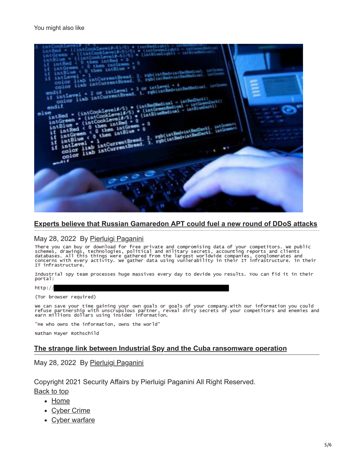

## **[Experts believe that Russian Gamaredon APT could fuel a new round of DDoS attacks](https://securityaffairs.co/wordpress/131762/apt/gamaredon-apt-ddos-attacks.html)**

May 28, 2022 By <u>[Pierluigi Paganini](https://securityaffairs.co/wordpress/author/paganinip)</u><br>There you can buy or download for free private and compromising data of your competitors. We public<br>schemes, drawings, technologies, political and military secrets, accounting reports a IT infrastructure.

Industrial spy team processes huge massives every day to devide you results. You can fid it in their portal:

 $http://$ 

(Tor browser required)

we can save your time gaining your own goals or goals of your company.with our information you could<br>refuse partnership with unscrupulous partner, reveal dirty secrets of your competitors and enemies and<br>earn millions doll

"He who owns the information, owns the world"

Nathan Mayer Rothschild

## **[The strange link between Industrial Spy and the Cuba ransomware operation](https://securityaffairs.co/wordpress/131754/cyber-crime/industrial-spy-cuba-ransomware.html)**

May 28, 2022 By [Pierluigi Paganini](https://securityaffairs.co/wordpress/author/paganinip)

Copyright 2021 Security Affairs by Pierluigi Paganini All Right Reserved. Back to top

- [Home](http://securityaffairs.co/wordpress/)
- [Cyber Crime](https://securityaffairs.co/wordpress/category/cyber-crime)
- [Cyber warfare](https://securityaffairs.co/wordpress/category/cyber-warfare-2)